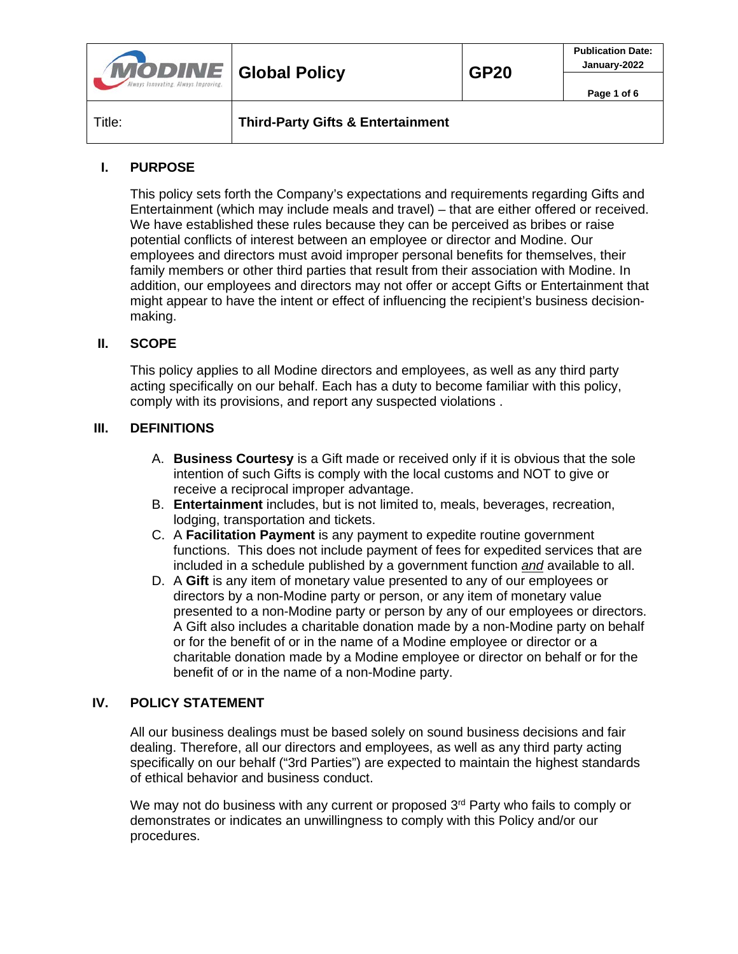| <b>MODINE</b> Global Policy<br>Always Innovating, Always Improving, |                                              | <b>GP20</b> | <b>Publication Date:</b><br>January-2022<br>Page 1 of 6 |
|---------------------------------------------------------------------|----------------------------------------------|-------------|---------------------------------------------------------|
| Title:                                                              | <b>Third-Party Gifts &amp; Entertainment</b> |             |                                                         |

## **I. PURPOSE**

This policy sets forth the Company's expectations and requirements regarding Gifts and Entertainment (which may include meals and travel) – that are either offered or received. We have established these rules because they can be perceived as bribes or raise potential conflicts of interest between an employee or director and Modine. Our employees and directors must avoid improper personal benefits for themselves, their family members or other third parties that result from their association with Modine. In addition, our employees and directors may not offer or accept Gifts or Entertainment that might appear to have the intent or effect of influencing the recipient's business decisionmaking.

#### **II. SCOPE**

This policy applies to all Modine directors and employees, as well as any third party acting specifically on our behalf. Each has a duty to become familiar with this policy, comply with its provisions, and report any suspected violations .

#### **III. DEFINITIONS**

- A. **Business Courtesy** is a Gift made or received only if it is obvious that the sole intention of such Gifts is comply with the local customs and NOT to give or receive a reciprocal improper advantage.
- B. **Entertainment** includes, but is not limited to, meals, beverages, recreation, lodging, transportation and tickets.
- C. A **Facilitation Payment** is any payment to expedite routine government functions. This does not include payment of fees for expedited services that are included in a schedule published by a government function *and* available to all.
- D. A **Gift** is any item of monetary value presented to any of our employees or directors by a non-Modine party or person, or any item of monetary value presented to a non-Modine party or person by any of our employees or directors. A Gift also includes a charitable donation made by a non-Modine party on behalf or for the benefit of or in the name of a Modine employee or director or a charitable donation made by a Modine employee or director on behalf or for the benefit of or in the name of a non-Modine party.

#### **IV. POLICY STATEMENT**

All our business dealings must be based solely on sound business decisions and fair dealing. Therefore, all our directors and employees, as well as any third party acting specifically on our behalf ("3rd Parties") are expected to maintain the highest standards of ethical behavior and business conduct.

We may not do business with any current or proposed 3<sup>rd</sup> Party who fails to comply or demonstrates or indicates an unwillingness to comply with this Policy and/or our procedures.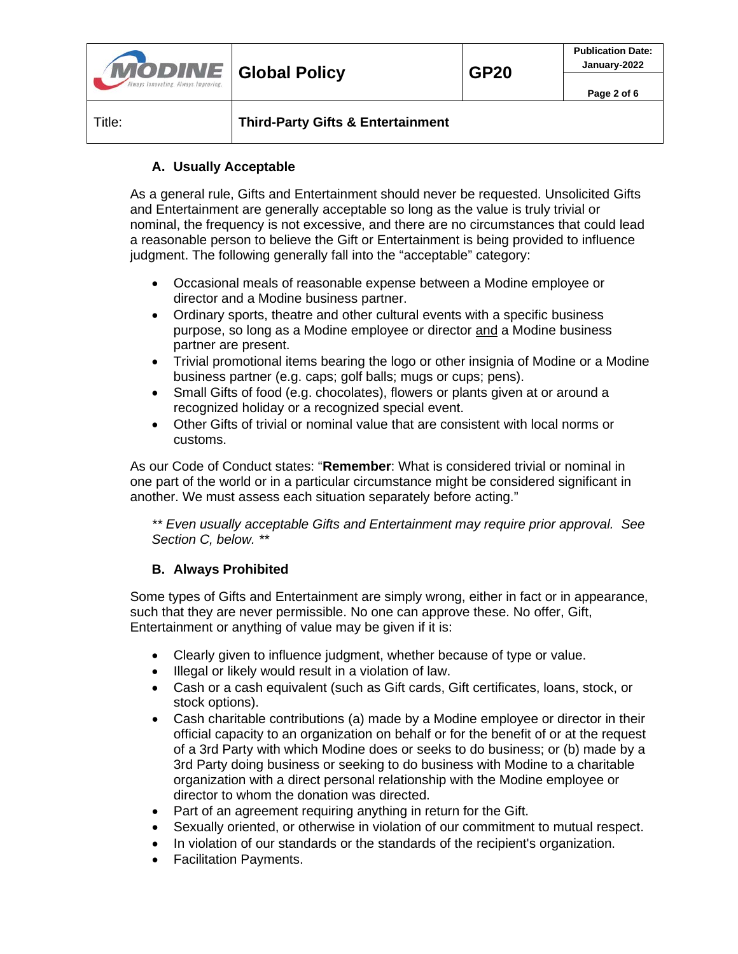| <b>MODINE</b> Global Policy<br>Always Innovating, Always Improving, |                                              | <b>GP20</b> | <b>Publication Date:</b><br>January-2022 |
|---------------------------------------------------------------------|----------------------------------------------|-------------|------------------------------------------|
|                                                                     |                                              |             | Page 2 of 6                              |
| Title:                                                              | <b>Third-Party Gifts &amp; Entertainment</b> |             |                                          |

# **A. Usually Acceptable**

As a general rule, Gifts and Entertainment should never be requested. Unsolicited Gifts and Entertainment are generally acceptable so long as the value is truly trivial or nominal, the frequency is not excessive, and there are no circumstances that could lead a reasonable person to believe the Gift or Entertainment is being provided to influence judgment. The following generally fall into the "acceptable" category:

- Occasional meals of reasonable expense between a Modine employee or director and a Modine business partner.
- Ordinary sports, theatre and other cultural events with a specific business purpose, so long as a Modine employee or director and a Modine business partner are present.
- Trivial promotional items bearing the logo or other insignia of Modine or a Modine business partner (e.g. caps; golf balls; mugs or cups; pens).
- Small Gifts of food (e.g. chocolates), flowers or plants given at or around a recognized holiday or a recognized special event.
- Other Gifts of trivial or nominal value that are consistent with local norms or customs.

As our Code of Conduct states: "**Remember**: What is considered trivial or nominal in one part of the world or in a particular circumstance might be considered significant in another. We must assess each situation separately before acting."

*\*\* Even usually acceptable Gifts and Entertainment may require prior approval. See Section C, below. \*\**

# **B. Always Prohibited**

Some types of Gifts and Entertainment are simply wrong, either in fact or in appearance, such that they are never permissible. No one can approve these. No offer, Gift, Entertainment or anything of value may be given if it is:

- Clearly given to influence judgment, whether because of type or value.
- Illegal or likely would result in a violation of law.
- Cash or a cash equivalent (such as Gift cards, Gift certificates, loans, stock, or stock options).
- Cash charitable contributions (a) made by a Modine employee or director in their official capacity to an organization on behalf or for the benefit of or at the request of a 3rd Party with which Modine does or seeks to do business; or (b) made by a 3rd Party doing business or seeking to do business with Modine to a charitable organization with a direct personal relationship with the Modine employee or director to whom the donation was directed.
- Part of an agreement requiring anything in return for the Gift.
- Sexually oriented, or otherwise in violation of our commitment to mutual respect.
- In violation of our standards or the standards of the recipient's organization.
- Facilitation Payments.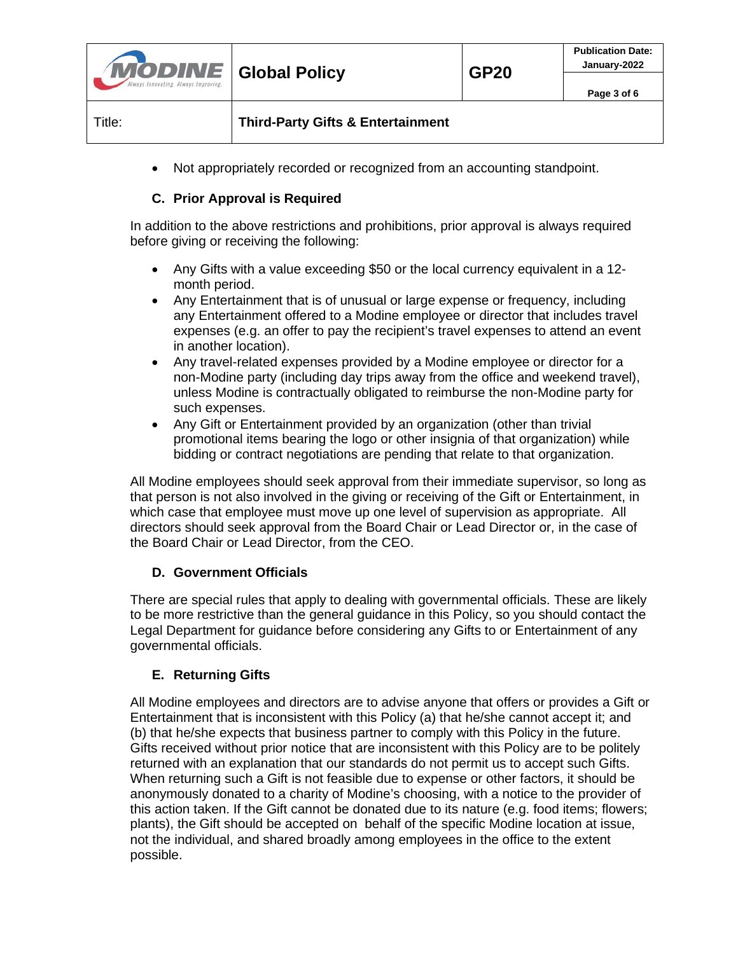| <b>MODINE</b> Global Policy<br>Always Innovating. Always Improving. | <b>GP20</b> | <b>Publication Date:</b><br>January-2022 |
|---------------------------------------------------------------------|-------------|------------------------------------------|
|                                                                     |             | Page 3 of 6                              |
|                                                                     |             |                                          |

• Not appropriately recorded or recognized from an accounting standpoint.

## **C. Prior Approval is Required**

Title: **Third-Party Gifts & Entertainment**

In addition to the above restrictions and prohibitions, prior approval is always required before giving or receiving the following:

- Any Gifts with a value exceeding \$50 or the local currency equivalent in a 12 month period.
- Any Entertainment that is of unusual or large expense or frequency, including any Entertainment offered to a Modine employee or director that includes travel expenses (e.g. an offer to pay the recipient's travel expenses to attend an event in another location).
- Any travel-related expenses provided by a Modine employee or director for a non-Modine party (including day trips away from the office and weekend travel), unless Modine is contractually obligated to reimburse the non-Modine party for such expenses.
- Any Gift or Entertainment provided by an organization (other than trivial promotional items bearing the logo or other insignia of that organization) while bidding or contract negotiations are pending that relate to that organization.

All Modine employees should seek approval from their immediate supervisor, so long as that person is not also involved in the giving or receiving of the Gift or Entertainment, in which case that employee must move up one level of supervision as appropriate. All directors should seek approval from the Board Chair or Lead Director or, in the case of the Board Chair or Lead Director, from the CEO.

## **D. Government Officials**

There are special rules that apply to dealing with governmental officials. These are likely to be more restrictive than the general guidance in this Policy, so you should contact the Legal Department for guidance before considering any Gifts to or Entertainment of any governmental officials.

## **E. Returning Gifts**

All Modine employees and directors are to advise anyone that offers or provides a Gift or Entertainment that is inconsistent with this Policy (a) that he/she cannot accept it; and (b) that he/she expects that business partner to comply with this Policy in the future. Gifts received without prior notice that are inconsistent with this Policy are to be politely returned with an explanation that our standards do not permit us to accept such Gifts. When returning such a Gift is not feasible due to expense or other factors, it should be anonymously donated to a charity of Modine's choosing, with a notice to the provider of this action taken. If the Gift cannot be donated due to its nature (e.g. food items; flowers; plants), the Gift should be accepted on behalf of the specific Modine location at issue, not the individual, and shared broadly among employees in the office to the extent possible.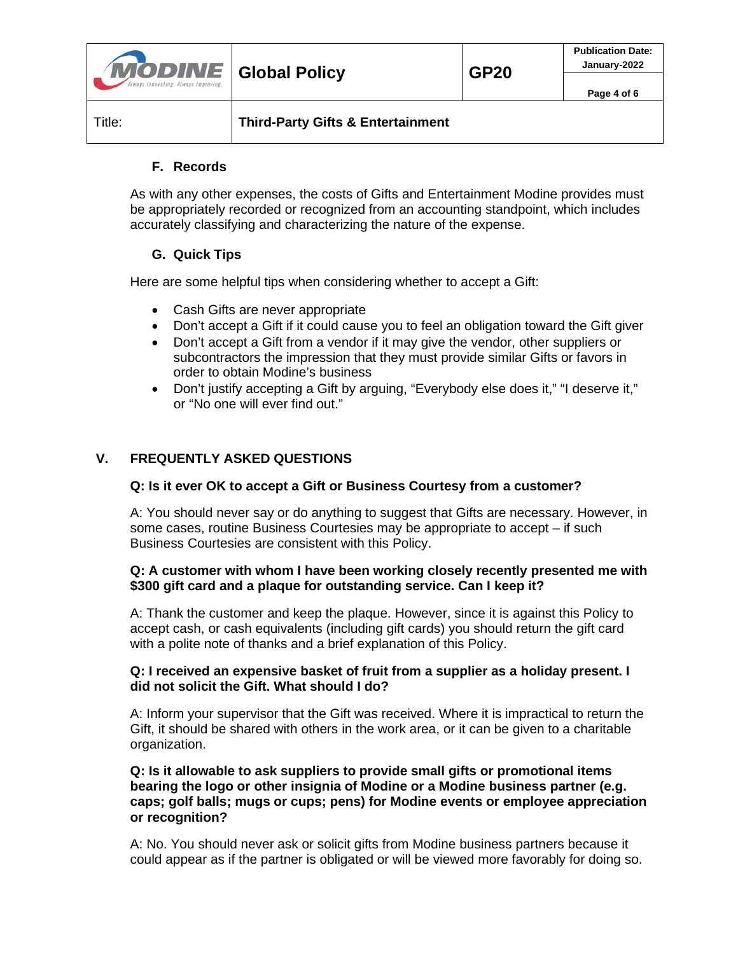| <b>MODINE</b> Global Policy          |                                              | <b>GP20</b> | <b>Publication Date:</b><br>January-2022 |
|--------------------------------------|----------------------------------------------|-------------|------------------------------------------|
| Always Innovating, Always Improving, |                                              |             | Page 4 of 6                              |
| Title:                               | <b>Third-Party Gifts &amp; Entertainment</b> |             |                                          |

# **F. Records**

As with any other expenses, the costs of Gifts and Entertainment Modine provides must be appropriately recorded or recognized from an accounting standpoint, which includes accurately classifying and characterizing the nature of the expense.

# **G. Quick Tips**

Here are some helpful tips when considering whether to accept a Gift:

- Cash Gifts are never appropriate
- Don't accept a Gift if it could cause you to feel an obligation toward the Gift giver
- Don't accept a Gift from a vendor if it may give the vendor, other suppliers or subcontractors the impression that they must provide similar Gifts or favors in order to obtain Modine's business
- Don't justify accepting a Gift by arguing, "Everybody else does it," "I deserve it," or "No one will ever find out."

## **V. FREQUENTLY ASKED QUESTIONS**

#### **Q: Is it ever OK to accept a Gift or Business Courtesy from a customer?**

A: You should never say or do anything to suggest that Gifts are necessary. However, in some cases, routine Business Courtesies may be appropriate to accept – if such Business Courtesies are consistent with this Policy.

## **Q: A customer with whom I have been working closely recently presented me with \$300 gift card and a plaque for outstanding service. Can I keep it?**

A: Thank the customer and keep the plaque. However, since it is against this Policy to accept cash, or cash equivalents (including gift cards) you should return the gift card with a polite note of thanks and a brief explanation of this Policy.

### **Q: I received an expensive basket of fruit from a supplier as a holiday present. I did not solicit the Gift. What should I do?**

A: Inform your supervisor that the Gift was received. Where it is impractical to return the Gift, it should be shared with others in the work area, or it can be given to a charitable organization.

### **Q: Is it allowable to ask suppliers to provide small gifts or promotional items bearing the logo or other insignia of Modine or a Modine business partner (e.g. caps; golf balls; mugs or cups; pens) for Modine events or employee appreciation or recognition?**

A: No. You should never ask or solicit gifts from Modine business partners because it could appear as if the partner is obligated or will be viewed more favorably for doing so.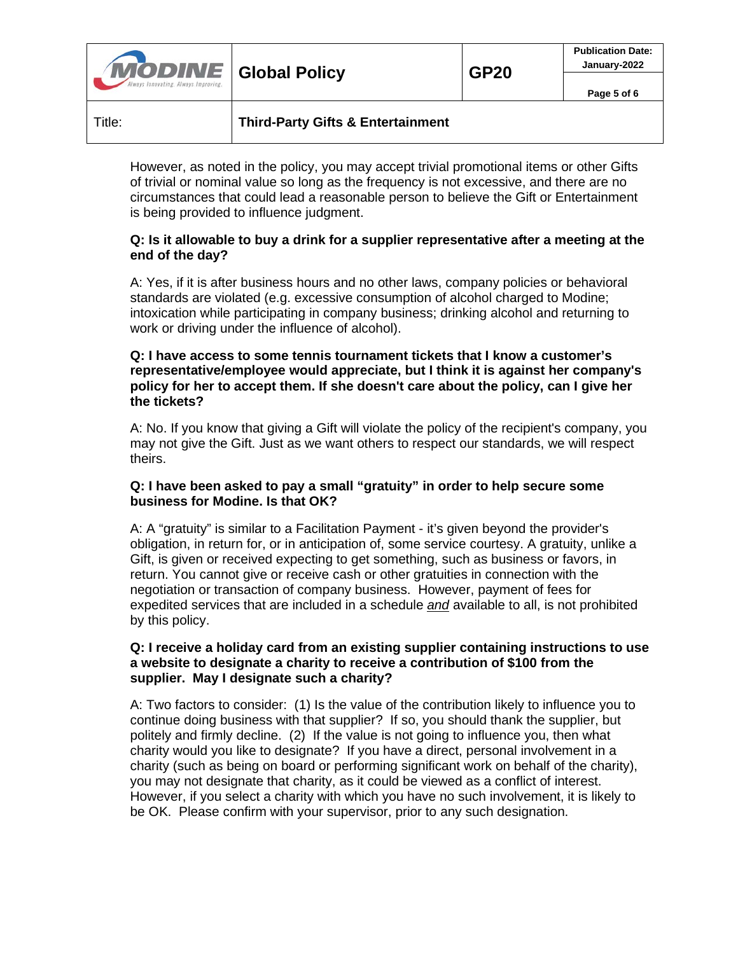| <b>MODINE</b> Global Policy<br>Ilways Innovating. Always Improving. |                                              | <b>GP20</b> | <b>Publication Date:</b><br>January-2022<br>Page 5 of 6 |
|---------------------------------------------------------------------|----------------------------------------------|-------------|---------------------------------------------------------|
| Title:                                                              | <b>Third-Party Gifts &amp; Entertainment</b> |             |                                                         |

However, as noted in the policy, you may accept trivial promotional items or other Gifts of trivial or nominal value so long as the frequency is not excessive, and there are no circumstances that could lead a reasonable person to believe the Gift or Entertainment is being provided to influence judgment.

## **Q: Is it allowable to buy a drink for a supplier representative after a meeting at the end of the day?**

A: Yes, if it is after business hours and no other laws, company policies or behavioral standards are violated (e.g. excessive consumption of alcohol charged to Modine; intoxication while participating in company business; drinking alcohol and returning to work or driving under the influence of alcohol).

#### **Q: I have access to some tennis tournament tickets that I know a customer's representative/employee would appreciate, but I think it is against her company's policy for her to accept them. If she doesn't care about the policy, can I give her the tickets?**

A: No. If you know that giving a Gift will violate the policy of the recipient's company, you may not give the Gift. Just as we want others to respect our standards, we will respect theirs.

### **Q: I have been asked to pay a small "gratuity" in order to help secure some business for Modine. Is that OK?**

A: A "gratuity" is similar to a Facilitation Payment - it's given beyond the provider's obligation, in return for, or in anticipation of, some service courtesy. A gratuity, unlike a Gift, is given or received expecting to get something, such as business or favors, in return. You cannot give or receive cash or other gratuities in connection with the negotiation or transaction of company business. However, payment of fees for expedited services that are included in a schedule *and* available to all, is not prohibited by this policy.

#### **Q: I receive a holiday card from an existing supplier containing instructions to use a website to designate a charity to receive a contribution of \$100 from the supplier. May I designate such a charity?**

A: Two factors to consider: (1) Is the value of the contribution likely to influence you to continue doing business with that supplier? If so, you should thank the supplier, but politely and firmly decline. (2) If the value is not going to influence you, then what charity would you like to designate? If you have a direct, personal involvement in a charity (such as being on board or performing significant work on behalf of the charity), you may not designate that charity, as it could be viewed as a conflict of interest. However, if you select a charity with which you have no such involvement, it is likely to be OK. Please confirm with your supervisor, prior to any such designation.